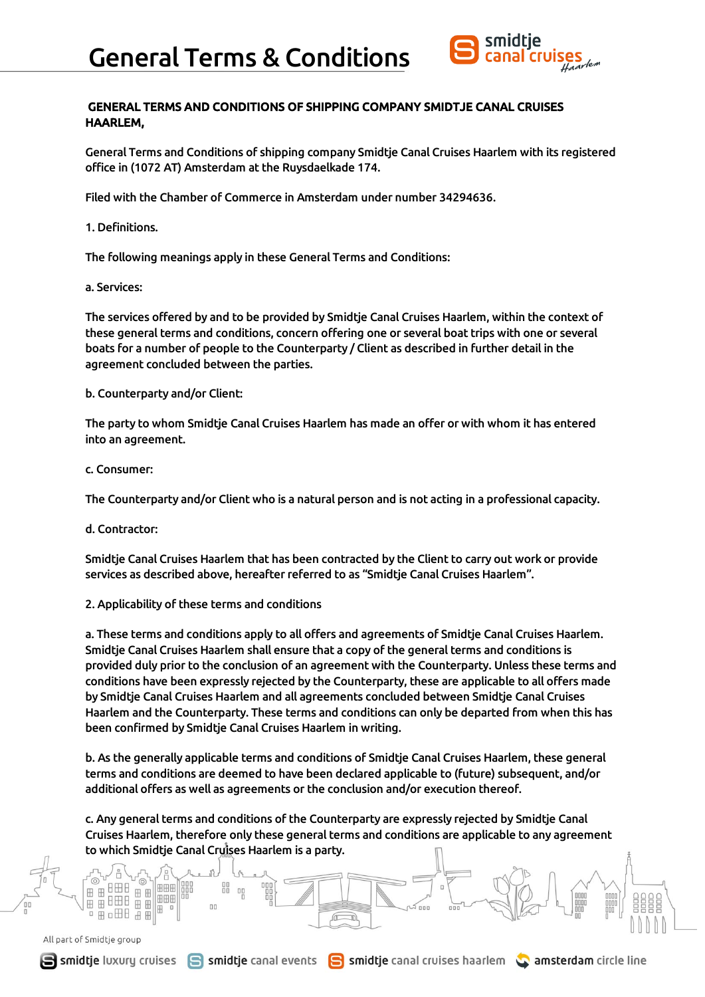

# GENERAL TERMS AND CONDITIONS OF SHIPPING COMPANY SMIDTJE CANAL CRUISES HAARLEM,

General Terms and Conditions of shipping company Smidtje Canal Cruises Haarlem with its registered office in (1072 AT) Amsterdam at the Ruysdaelkade 174.

Filed with the Chamber of Commerce in Amsterdam under number 34294636.

# 1. Definitions.

The following meanings apply in these General Terms and Conditions:

a. Services:

The services offered by and to be provided by Smidtje Canal Cruises Haarlem, within the context of these general terms and conditions, concern offering one or several boat trips with one or several boats for a number of people to the Counterparty / Client as described in further detail in the agreement concluded between the parties.

b. Counterparty and/or Client:

The party to whom Smidtje Canal Cruises Haarlem has made an offer or with whom it has entered into an agreement.

c. Consumer:

The Counterparty and/or Client who is a natural person and is not acting in a professional capacity.

d. Contractor:

Smidtje Canal Cruises Haarlem that has been contracted by the Client to carry out work or provide services as described above, hereafter referred to as "Smidtje Canal Cruises Haarlem".

2. Applicability of these terms and conditions

88

nn

a. These terms and conditions apply to all offers and agreements of Smidtje Canal Cruises Haarlem. Smidtje Canal Cruises Haarlem shall ensure that a copy of the general terms and conditions is provided duly prior to the conclusion of an agreement with the Counterparty. Unless these terms and conditions have been expressly rejected by the Counterparty, these are applicable to all offers made by Smidtje Canal Cruises Haarlem and all agreements concluded between Smidtje Canal Cruises Haarlem and the Counterparty. These terms and conditions can only be departed from when this has been confirmed by Smidtje Canal Cruises Haarlem in writing.

b. As the generally applicable terms and conditions of Smidtje Canal Cruises Haarlem, these general terms and conditions are deemed to have been declared applicable to (future) subsequent, and/or additional offers as well as agreements or the conclusion and/or execution thereof.

c. Any general terms and conditions of the Counterparty are expressly rejected by Smidtje Canal Cruises Haarlem, therefore only these general terms and conditions are applicable to any agreement to which Smidtje Canal Cruises Haarlem is a party.

All part of Smidtje group

**Ame** 田田

**BHB** 

田 □ 田日

田田

田田田

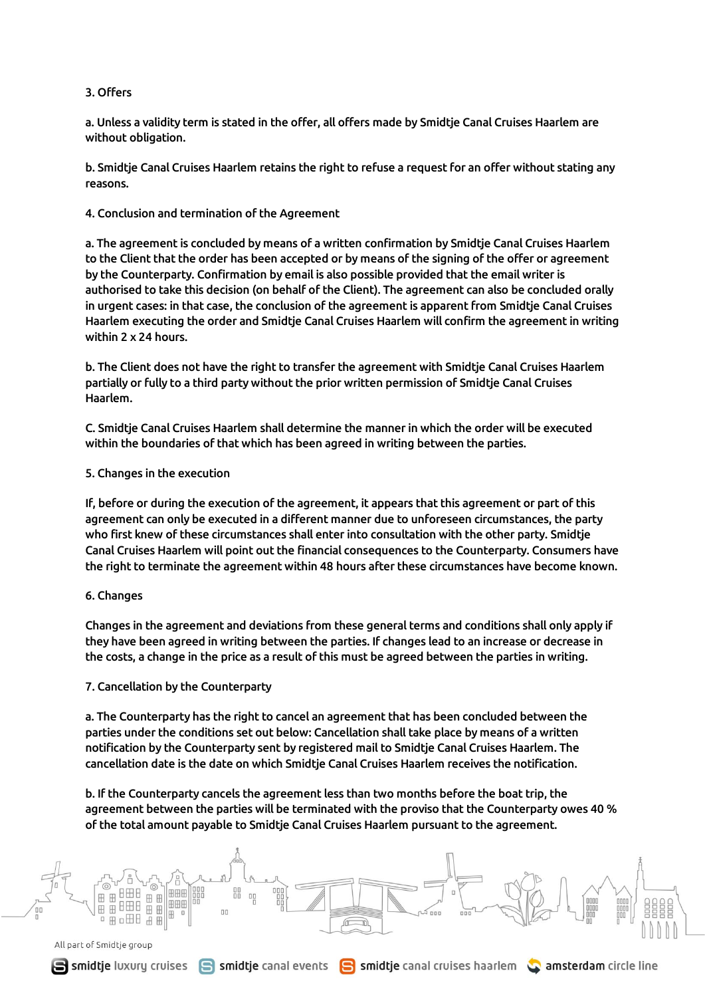### 3. Offers

a. Unless a validity term is stated in the offer, all offers made by Smidtje Canal Cruises Haarlem are without obligation.

b. Smidtje Canal Cruises Haarlem retains the right to refuse a request for an offer without stating any reasons.

4. Conclusion and termination of the Agreement

a. The agreement is concluded by means of a written confirmation by Smidtje Canal Cruises Haarlem to the Client that the order has been accepted or by means of the signing of the offer or agreement by the Counterparty. Confirmation by email is also possible provided that the email writer is authorised to take this decision (on behalf of the Client). The agreement can also be concluded orally in urgent cases: in that case, the conclusion of the agreement is apparent from Smidtje Canal Cruises Haarlem executing the order and Smidtje Canal Cruises Haarlem will confirm the agreement in writing within 2 x 24 hours.

b. The Client does not have the right to transfer the agreement with Smidtje Canal Cruises Haarlem partially or fully to a third party without the prior written permission of Smidtje Canal Cruises Haarlem.

C. Smidtje Canal Cruises Haarlem shall determine the manner in which the order will be executed within the boundaries of that which has been agreed in writing between the parties.

5. Changes in the execution

If, before or during the execution of the agreement, it appears that this agreement or part of this agreement can only be executed in a different manner due to unforeseen circumstances, the party who first knew of these circumstances shall enter into consultation with the other party. Smidtje Canal Cruises Haarlem will point out the financial consequences to the Counterparty. Consumers have the right to terminate the agreement within 48 hours after these circumstances have become known.

# 6. Changes

Changes in the agreement and deviations from these general terms and conditions shall only apply if they have been agreed in writing between the parties. If changes lead to an increase or decrease in the costs, a change in the price as a result of this must be agreed between the parties in writing.

#### 7. Cancellation by the Counterparty

a. The Counterparty has the right to cancel an agreement that has been concluded between the parties under the conditions set out below: Cancellation shall take place by means of a written notification by the Counterparty sent by registered mail to Smidtje Canal Cruises Haarlem. The cancellation date is the date on which Smidtje Canal Cruises Haarlem receives the notification.

b. If the Counterparty cancels the agreement less than two months before the boat trip, the agreement between the parties will be terminated with the proviso that the Counterparty owes 40 % of the total amount payable to Smidtje Canal Cruises Haarlem pursuant to the agreement.

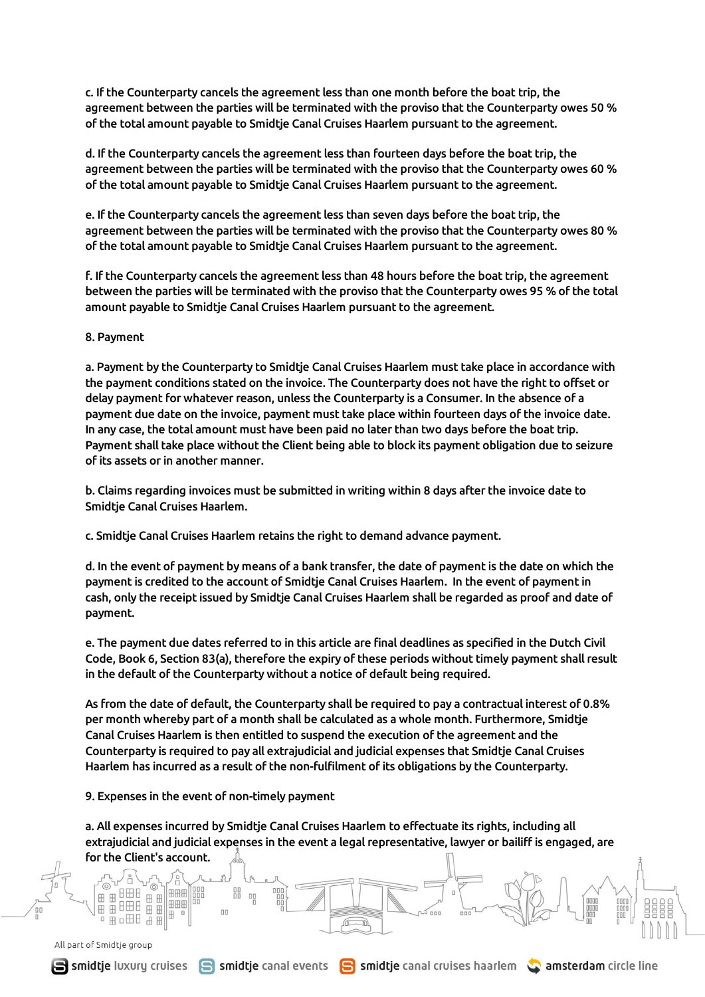c. If the Counterparty cancels the agreement less than one month before the boat trip, the agreement between the parties will be terminated with the proviso that the Counterparty owes 50 % of the total amount payable to Smidtje Canal Cruises Haarlem pursuant to the agreement.

d. If the Counterparty cancels the agreement less than fourteen days before the boat trip, the agreement between the parties will be terminated with the proviso that the Counterparty owes 60 % of the total amount payable to Smidtje Canal Cruises Haarlem pursuant to the agreement.

e. If the Counterparty cancels the agreement less than seven days before the boat trip, the agreement between the parties will be terminated with the proviso that the Counterparty owes 80 % of the total amount payable to Smidtje Canal Cruises Haarlem pursuant to the agreement.

f. If the Counterparty cancels the agreement less than 48 hours before the boat trip, the agreement between the parties will be terminated with the proviso that the Counterparty owes 95 % of the total amount payable to Smidtje Canal Cruises Haarlem pursuant to the agreement.

8. Payment

a. Payment by the Counterparty to Smidtje Canal Cruises Haarlem must take place in accordance with the payment conditions stated on the invoice. The Counterparty does not have the right to offset or delay payment for whatever reason, unless the Counterparty is a Consumer. In the absence of a payment due date on the invoice, payment must take place within fourteen days of the invoice date. In any case, the total amount must have been paid no later than two days before the boat trip. Payment shall take place without the Client being able to block its payment obligation due to seizure of its assets or in another manner.

b. Claims regarding invoices must be submitted in writing within 8 days after the invoice date to Smidtje Canal Cruises Haarlem.

c. Smidtje Canal Cruises Haarlem retains the right to demand advance payment.

d. In the event of payment by means of a bank transfer, the date of payment is the date on which the payment is credited to the account of Smidtje Canal Cruises Haarlem. In the event of payment in cash, only the receipt issued by Smidtje Canal Cruises Haarlem shall be regarded as proof and date of payment.

e. The payment due dates referred to in this article are final deadlines as specified in the Dutch Civil Code, Book 6, Section 83(a), therefore the expiry of these periods without timely payment shall result in the default of the Counterparty without a notice of default being required.

As from the date of default, the Counterparty shall be required to pay a contractual interest of 0.8% per month whereby part of a month shall be calculated as a whole month. Furthermore, Smidtje Canal Cruises Haarlem is then entitled to suspend the execution of the agreement and the Counterparty is required to pay all extrajudicial and judicial expenses that Smidtje Canal Cruises Haarlem has incurred as a result of the non-fulfilment of its obligations by the Counterparty.

9. Expenses in the event of non-timely payment

田田田

88 00

a. All expenses incurred by Smidtje Canal Cruises Haarlem to effectuate its rights, including all extrajudicial and judicial expenses in the event a legal representative, lawyer or bailiff is engaged, are for the Client's account.

> foc  $\equiv$

All part of Smidtje group

田

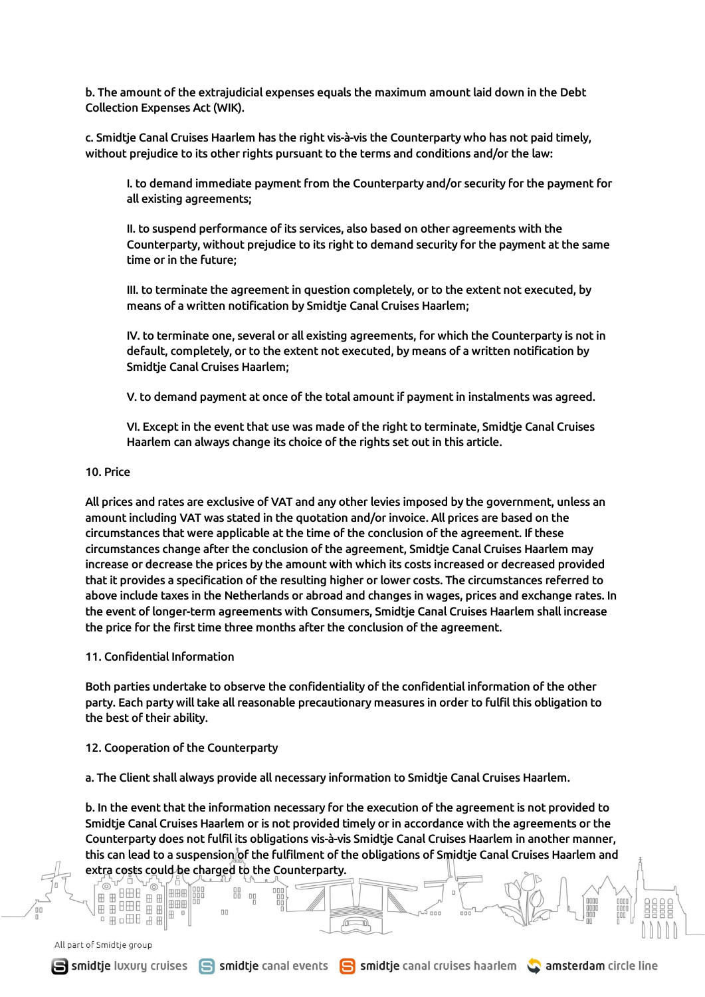b. The amount of the extrajudicial expenses equals the maximum amount laid down in the Debt Collection Expenses Act (WIK).

c. Smidtje Canal Cruises Haarlem has the right vis-à-vis the Counterparty who has not paid timely, without prejudice to its other rights pursuant to the terms and conditions and/or the law:

I. to demand immediate payment from the Counterparty and/or security for the payment for all existing agreements;

II. to suspend performance of its services, also based on other agreements with the Counterparty, without prejudice to its right to demand security for the payment at the same time or in the future;

III. to terminate the agreement in question completely, or to the extent not executed, by means of a written notification by Smidtje Canal Cruises Haarlem;

IV. to terminate one, several or all existing agreements, for which the Counterparty is not in default, completely, or to the extent not executed, by means of a written notification by Smidtje Canal Cruises Haarlem;

V. to demand payment at once of the total amount if payment in instalments was agreed.

VI. Except in the event that use was made of the right to terminate, Smidtje Canal Cruises Haarlem can always change its choice of the rights set out in this article.

#### 10. Price

All prices and rates are exclusive of VAT and any other levies imposed by the government, unless an amount including VAT was stated in the quotation and/or invoice. All prices are based on the circumstances that were applicable at the time of the conclusion of the agreement. If these circumstances change after the conclusion of the agreement, Smidtje Canal Cruises Haarlem may increase or decrease the prices by the amount with which its costs increased or decreased provided that it provides a specification of the resulting higher or lower costs. The circumstances referred to above include taxes in the Netherlands or abroad and changes in wages, prices and exchange rates. In the event of longer-term agreements with Consumers, Smidtje Canal Cruises Haarlem shall increase the price for the first time three months after the conclusion of the agreement.

#### 11. Confidential Information

Both parties undertake to observe the confidentiality of the confidential information of the other party. Each party will take all reasonable precautionary measures in order to fulfil this obligation to the best of their ability.

#### 12. Cooperation of the Counterparty

田田田 田 漂亮

IH

a. The Client shall always provide all necessary information to Smidtje Canal Cruises Haarlem.

b. In the event that the information necessary for the execution of the agreement is not provided to Smidtje Canal Cruises Haarlem or is not provided timely or in accordance with the agreements or the Counterparty does not fulfil its obligations vis-à-vis Smidtje Canal Cruises Haarlem in another manner, this can lead to a suspension of the fulfilment of the obligations of Smidtje Canal Cruises Haarlem and extra costs could be charged to the Counterparty.

 $\sqrt{1-\sqrt{1-\frac{1}{2}}}$ 

All part of Smidtje group

 $\overline{a}$  &  $\overline{a}$  &  $\overline{a}$ 

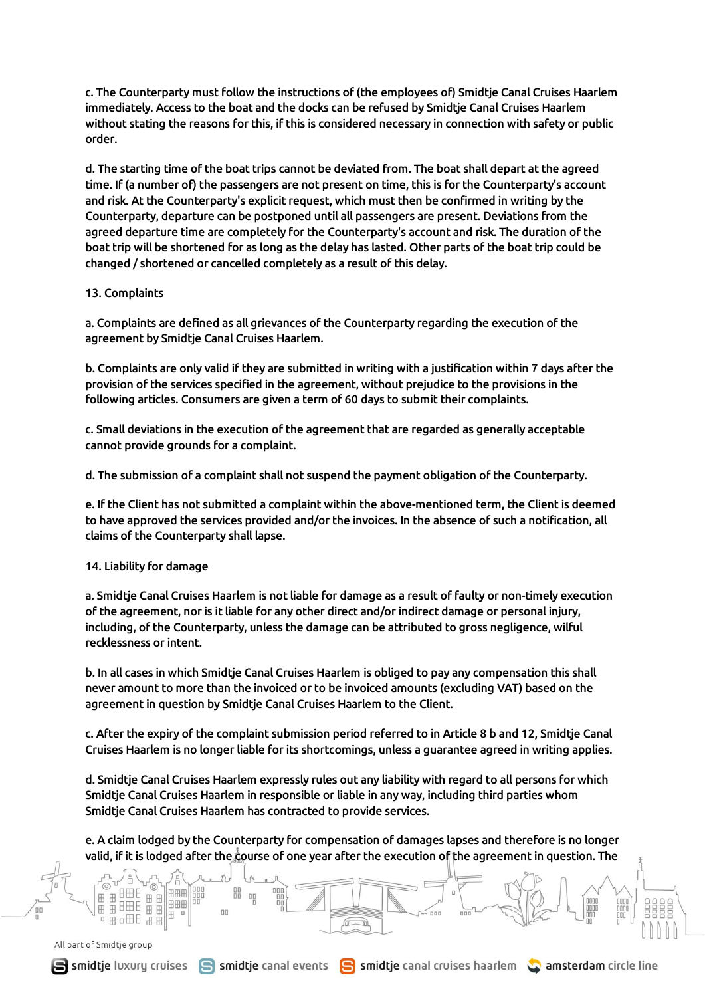c. The Counterparty must follow the instructions of (the employees of) Smidtje Canal Cruises Haarlem immediately. Access to the boat and the docks can be refused by Smidtje Canal Cruises Haarlem without stating the reasons for this, if this is considered necessary in connection with safety or public order.

d. The starting time of the boat trips cannot be deviated from. The boat shall depart at the agreed time. If (a number of) the passengers are not present on time, this is for the Counterparty's account and risk. At the Counterparty's explicit request, which must then be confirmed in writing by the Counterparty, departure can be postponed until all passengers are present. Deviations from the agreed departure time are completely for the Counterparty's account and risk. The duration of the boat trip will be shortened for as long as the delay has lasted. Other parts of the boat trip could be changed / shortened or cancelled completely as a result of this delay.

### 13. Complaints

a. Complaints are defined as all grievances of the Counterparty regarding the execution of the agreement by Smidtje Canal Cruises Haarlem.

b. Complaints are only valid if they are submitted in writing with a justification within 7 days after the provision of the services specified in the agreement, without prejudice to the provisions in the following articles. Consumers are given a term of 60 days to submit their complaints.

c. Small deviations in the execution of the agreement that are regarded as generally acceptable cannot provide grounds for a complaint.

d. The submission of a complaint shall not suspend the payment obligation of the Counterparty.

e. If the Client has not submitted a complaint within the above-mentioned term, the Client is deemed to have approved the services provided and/or the invoices. In the absence of such a notification, all claims of the Counterparty shall lapse.

# 14. Liability for damage

a. Smidtje Canal Cruises Haarlem is not liable for damage as a result of faulty or non-timely execution of the agreement, nor is it liable for any other direct and/or indirect damage or personal injury, including, of the Counterparty, unless the damage can be attributed to gross negligence, wilful recklessness or intent.

b. In all cases in which Smidtje Canal Cruises Haarlem is obliged to pay any compensation this shall never amount to more than the invoiced or to be invoiced amounts (excluding VAT) based on the agreement in question by Smidtje Canal Cruises Haarlem to the Client.

c. After the expiry of the complaint submission period referred to in Article 8 b and 12, Smidtje Canal Cruises Haarlem is no longer liable for its shortcomings, unless a guarantee agreed in writing applies.

d. Smidtje Canal Cruises Haarlem expressly rules out any liability with regard to all persons for which Smidtje Canal Cruises Haarlem in responsible or liable in any way, including third parties whom Smidtje Canal Cruises Haarlem has contracted to provide services.

e. A claim lodged by the Counterparty for compensation of damages lapses and therefore is no longer valid, if it is lodged after the course of one year after the execution of the agreement in question. The

> foc  $\equiv$

먦  $\Box$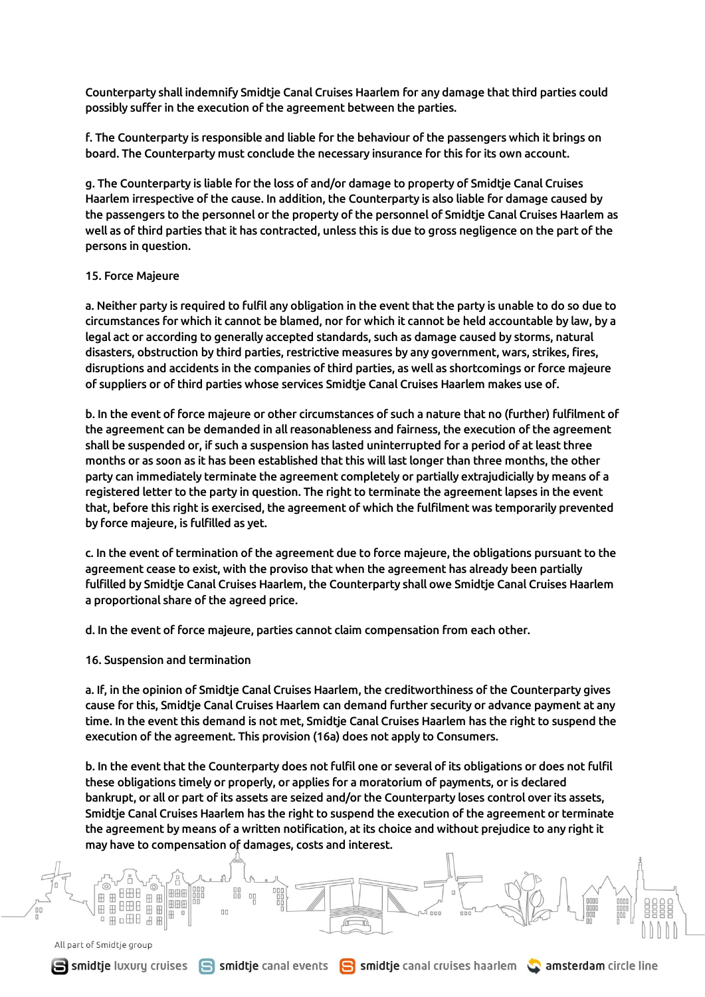Counterparty shall indemnify Smidtje Canal Cruises Haarlem for any damage that third parties could possibly suffer in the execution of the agreement between the parties.

f. The Counterparty is responsible and liable for the behaviour of the passengers which it brings on board. The Counterparty must conclude the necessary insurance for this for its own account.

g. The Counterparty is liable for the loss of and/or damage to property of Smidtje Canal Cruises Haarlem irrespective of the cause. In addition, the Counterparty is also liable for damage caused by the passengers to the personnel or the property of the personnel of Smidtje Canal Cruises Haarlem as well as of third parties that it has contracted, unless this is due to gross negligence on the part of the persons in question.

#### 15. Force Majeure

a. Neither party is required to fulfil any obligation in the event that the party is unable to do so due to circumstances for which it cannot be blamed, nor for which it cannot be held accountable by law, by a legal act or according to generally accepted standards, such as damage caused by storms, natural disasters, obstruction by third parties, restrictive measures by any government, wars, strikes, fires, disruptions and accidents in the companies of third parties, as well as shortcomings or force majeure of suppliers or of third parties whose services Smidtje Canal Cruises Haarlem makes use of.

b. In the event of force majeure or other circumstances of such a nature that no (further) fulfilment of the agreement can be demanded in all reasonableness and fairness, the execution of the agreement shall be suspended or, if such a suspension has lasted uninterrupted for a period of at least three months or as soon as it has been established that this will last longer than three months, the other party can immediately terminate the agreement completely or partially extrajudicially by means of a registered letter to the party in question. The right to terminate the agreement lapses in the event that, before this right is exercised, the agreement of which the fulfilment was temporarily prevented by force majeure, is fulfilled as yet.

c. In the event of termination of the agreement due to force majeure, the obligations pursuant to the agreement cease to exist, with the proviso that when the agreement has already been partially fulfilled by Smidtje Canal Cruises Haarlem, the Counterparty shall owe Smidtje Canal Cruises Haarlem a proportional share of the agreed price.

d. In the event of force majeure, parties cannot claim compensation from each other.

16. Suspension and termination

88  $\Box$ 

a. If, in the opinion of Smidtje Canal Cruises Haarlem, the creditworthiness of the Counterparty gives cause for this, Smidtje Canal Cruises Haarlem can demand further security or advance payment at any time. In the event this demand is not met, Smidtje Canal Cruises Haarlem has the right to suspend the execution of the agreement. This provision (16a) does not apply to Consumers.

b. In the event that the Counterparty does not fulfil one or several of its obligations or does not fulfil these obligations timely or properly, or applies for a moratorium of payments, or is declared bankrupt, or all or part of its assets are seized and/or the Counterparty loses control over its assets, Smidtje Canal Cruises Haarlem has the right to suspend the execution of the agreement or terminate the agreement by means of a written notification, at its choice and without prejudice to any right it may have to compensation of damages, costs and interest.

> foc  $\equiv$